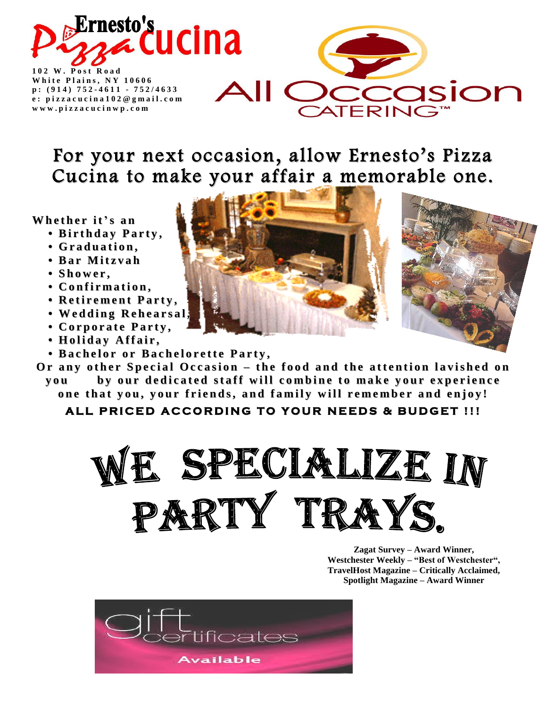

**1 0 2 W . P o s t R o a d White Plains, NY 10606 p : ( 9 1 4 ) 752 - 4 6 1 1 - 7 5 2 / 4 6 3 3 e : p i z z a c u c i n a 1 0 2 @ g m a i l . c o m w w w . p i z z a c u c i n w p . c o m**



# For your next occasion, allow Ernesto's Pizza Cucina to make your affair a memorable one.

**Wh e t h e r it's a n**

- **• Bi r t h d a y P a r t y ,**
- **• G r a d u a ti o n ,**
- **• Ba r M it z v a h**
- **• S h o w e r ,**
- **• C o n fi r m a ti o n ,**
- **• R e ti r e m e n t P a r t y ,**
- **• We d d i n g R e h e a r s a l ,**
- **• C o r p o r a t e P a r t y ,**
- **• H o l i d a y A ff a i r ,**
- . Bachelor or Bachelorette Party,
- Or any other Special Occasion the food and the attention lavished on you by our dedicated staff will combine to make your experience

one that you, your friends, and family will remember and enjoy!

ALL PRICED ACCORDING TO YOUR NEEDS & BUDGET !!!



**Zagat Survey – Award Winner, Westchester Weekly – "Best of Westchester", TravelHost Magazine – Critically Acclaimed, Spotlight Magazine – Award Winner**